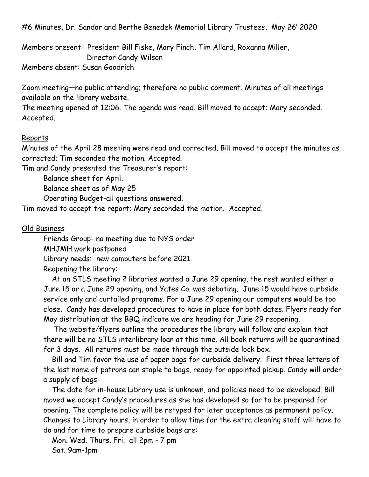#6 Minutes, Dr. Sandor and Berthe Benedek Memorial Library Trustees, May 26' 2020

Members present: President Bill Fiske, Mary Finch, Tim Allard, Roxanna Miller, Director Candy Wilson

Members absent: Susan Goodrich

Zoom meeting—no public attending; therefore no public comment. Minutes of all meetings available on the library website.

The meeting opened at 12:06. The agenda was read. Bill moved to accept; Mary seconded. Accepted.

## Reports

Minutes of the April 28 meeting were read and corrected. Bill moved to accept the minutes as corrected; Tim seconded the motion. Accepted.

Tim and Candy presented the Treasurer's report:

Balance sheet for April.

Balance sheet as of May 25

Operating Budget-all questions answered.

Tim moved to accept the report; Mary seconded the motion. Accepted.

## Old Business

Friends Group- no meeting due to NYS order

MHJMH work postponed

Library needs: new computers before 2021

Reopening the library:

At an STLS meeting 2 libraries wanted a June 29 opening, the rest wanted either a June 15 or a June 29 opening, and Yates Co. was debating. June 15 would have curbside service only and curtailed programs. For a June 29 opening our computers would be too close. Candy has developed procedures to have in place for both dates. Flyers ready for May distribution at the BBQ indicate we are heading for June 29 reopening.

The website/flyers outline the procedures the library will follow and explain that there will be no STLS interlibrary loan at this time. All book returns will be quarantined for 3 days. All returns must be made through the outside lock box.

Bill and Tim favor the use of paper bags for curbside delivery. First three letters of the last name of patrons can staple to bags, ready for appointed pickup. Candy will order a supply of bags.

The date for in-house Library use is unknown, and policies need to be developed. Bill moved we accept Candy's procedures as she has developed so far to be prepared for opening. The complete policy will be retyped for later acceptance as permanent policy. Changes to Library hours, in order to allow time for the extra cleaning staff will have to do and for time to prepare curbside bags are:

Mon. Wed. Thurs. Fri. all 2pm - 7 pm Sat. 9am-1pm